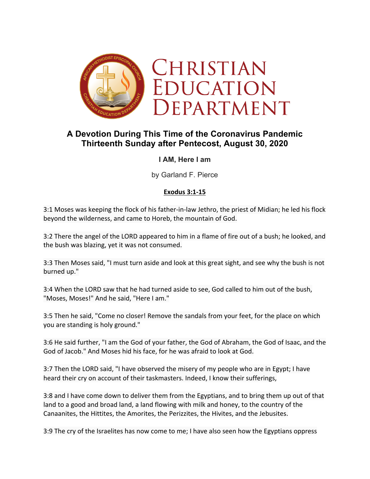

# **A Devotion During This Time of the Coronavirus Pandemic Thirteenth Sunday after Pentecost, August 30, 2020**

## **I AM, Here I am**

by Garland F. Pierce

## **Exodus 3:1-15**

3:1 Moses was keeping the flock of his father-in-law Jethro, the priest of Midian; he led his flock beyond the wilderness, and came to Horeb, the mountain of God.

3:2 There the angel of the LORD appeared to him in a flame of fire out of a bush; he looked, and the bush was blazing, yet it was not consumed.

3:3 Then Moses said, "I must turn aside and look at this great sight, and see why the bush is not burned up."

3:4 When the LORD saw that he had turned aside to see, God called to him out of the bush, "Moses, Moses!" And he said, "Here I am."

3:5 Then he said, "Come no closer! Remove the sandals from your feet, for the place on which you are standing is holy ground."

3:6 He said further, "I am the God of your father, the God of Abraham, the God of Isaac, and the God of Jacob." And Moses hid his face, for he was afraid to look at God.

3:7 Then the LORD said, "I have observed the misery of my people who are in Egypt; I have heard their cry on account of their taskmasters. Indeed, I know their sufferings,

3:8 and I have come down to deliver them from the Egyptians, and to bring them up out of that land to a good and broad land, a land flowing with milk and honey, to the country of the Canaanites, the Hittites, the Amorites, the Perizzites, the Hivites, and the Jebusites.

3:9 The cry of the Israelites has now come to me; I have also seen how the Egyptians oppress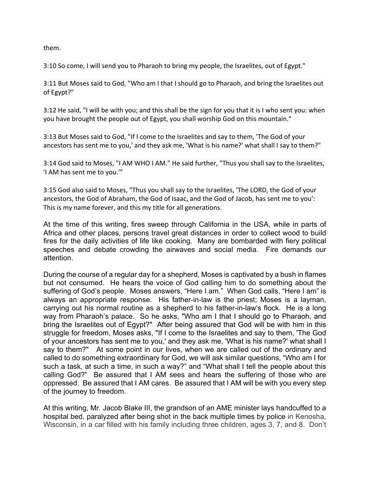them.

3:10 So come, I will send you to Pharaoh to bring my people, the Israelites, out of Egypt."

3:11 But Moses said to God, "Who am I that I should go to Pharaoh, and bring the Israelites out of Egypt?"

3:12 He said, "I will be with you; and this shall be the sign for you that it is I who sent you: when you have brought the people out of Egypt, you shall worship God on this mountain."

3:13 But Moses said to God, "If I come to the Israelites and say to them, 'The God of your ancestors has sent me to you,' and they ask me, 'What is his name?' what shall I say to them?"

3:14 God said to Moses, "I AM WHO I AM." He said further, "Thus you shall say to the Israelites, 'I AM has sent me to you.'"

3:15 God also said to Moses, "Thus you shall say to the Israelites, 'The LORD, the God of your ancestors, the God of Abraham, the God of Isaac, and the God of Jacob, has sent me to you': This is my name forever, and this my title for all generations.

At the time of this writing, fires sweep through California in the USA, while in parts of Africa and other places, persons travel great distances in order to collect wood to build fires for the daily activities of life like cooking. Many are bombarded with fiery political speeches and debate crowding the airwaves and social media. Fire demands our attention.

During the course of a regular day for a shepherd, Moses is captivated by a bush in flames but not consumed. He hears the voice of God calling him to do something about the suffering of God's people. Moses answers, "Here I am." When God calls, "Here I am" is always an appropriate response. His father-in-law is the priest; Moses is a layman, carrying out his normal routine as a shepherd to his father-in-law's flock. He is a long way from Pharaoh's palace. So he asks, "Who am I that I should go to Pharaoh, and bring the Israelites out of Egypt?" After being assured that God will be with him in this struggle for freedom, Moses asks, "If I come to the Israelites and say to them, 'The God of your ancestors has sent me to you,' and they ask me, 'What is his name?' what shall I say to them?" At some point in our lives, when we are called out of the ordinary and called to do something extraordinary for God, we will ask similar questions, "Who am I for such a task, at such a time, in such a way?" and "What shall I tell the people about this calling God?" Be assured that I AM sees and hears the suffering of those who are oppressed. Be assured that I AM cares. Be assured that I AM will be with you every step of the journey to freedom.

At this writing, Mr. Jacob Blake III, the grandson of an AME minister lays handcuffed to a hospital bed, paralyzed after being shot in the back multiple times by police in Kenosha, Wisconsin, in a car filled with his family including three children, ages 3, 7, and 8. Don't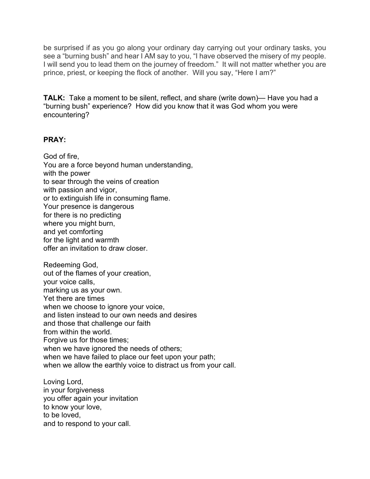be surprised if as you go along your ordinary day carrying out your ordinary tasks, you see a "burning bush" and hear I AM say to you, "I have observed the misery of my people. I will send you to lead them on the journey of freedom." It will not matter whether you are prince, priest, or keeping the flock of another. Will you say, "Here I am?"

**TALK:** Take a moment to be silent, reflect, and share (write down)— Have you had a "burning bush" experience? How did you know that it was God whom you were encountering?

### **PRAY:**

God of fire, You are a force beyond human understanding, with the power to sear through the veins of creation with passion and vigor, or to extinguish life in consuming flame. Your presence is dangerous for there is no predicting where you might burn, and yet comforting for the light and warmth offer an invitation to draw closer.

Redeeming God, out of the flames of your creation, your voice calls, marking us as your own. Yet there are times when we choose to ignore your voice, and listen instead to our own needs and desires and those that challenge our faith from within the world. Forgive us for those times: when we have ignored the needs of others; when we have failed to place our feet upon your path; when we allow the earthly voice to distract us from your call.

Loving Lord, in your forgiveness you offer again your invitation to know your love, to be loved, and to respond to your call.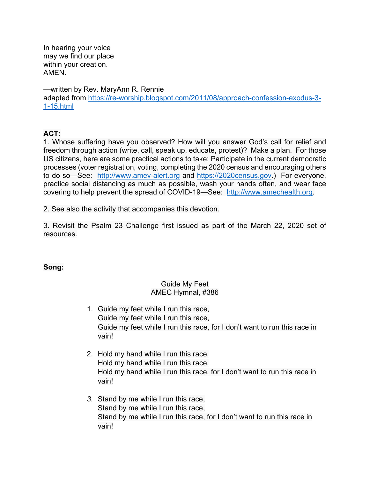In hearing your voice may we find our place within your creation. AMEN.

—written by Rev. MaryAnn R. Rennie adapted from https://re-worship.blogspot.com/2011/08/approach-confession-exodus-3- 1-15.html

## **ACT:**

1. Whose suffering have you observed? How will you answer God's call for relief and freedom through action (write, call, speak up, educate, protest)? Make a plan. For those US citizens, here are some practical actions to take: Participate in the current democratic processes (voter registration, voting, completing the 2020 census and encouraging others to do so—See: http://www.amev-alert.org and https://2020census.gov.) For everyone, practice social distancing as much as possible, wash your hands often, and wear face covering to help prevent the spread of COVID-19—See: http://www.amechealth.org.

2. See also the activity that accompanies this devotion.

3. Revisit the Psalm 23 Challenge first issued as part of the March 22, 2020 set of resources.

**Song:**

#### Guide My Feet AMEC Hymnal, #386

- 1. Guide my feet while I run this race, Guide my feet while I run this race, Guide my feet while I run this race, for I don't want to run this race in vain!
- 2. Hold my hand while I run this race, Hold my hand while I run this race, Hold my hand while I run this race, for I don't want to run this race in vain!
- *3.* Stand by me while I run this race, Stand by me while I run this race, Stand by me while I run this race, for I don't want to run this race in vain!